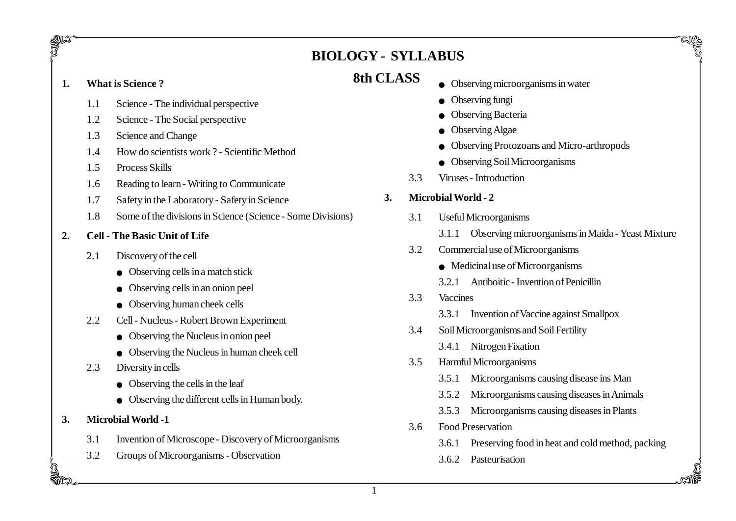# **BIOLOGY - SYLLABUS**

# **8th CLASS 1. What is Science ?**

gun<br>17

- 1.1 Science The individual perspective
- 1.2 Science The Social perspective
- 1.3 Science and Change
- 1.4 How do scientists work ? Scientific Method
- 1.5 Process Skills
- 1.6 Reading to learn Writing to Communicate
- 1.7 Safety in the Laboratory Safety in Science
- 1.8 Some of the divisions in Science (Science Some Divisions)
- **2. Cell The Basic Unit of Life**
	- 2.1 Discovery of the cell
		- $\bullet$  Observing cells in a match stick
		- $\bullet$  Observing cells in an onion peel
		- $\bullet$  Observing human cheek cells
	- 2.2 Cell Nucleus Robert Brown Experiment
		- $\bullet$  Observing the Nucleus in onion peel
		- $\bullet$  Observing the Nucleus in human cheek cell
	- 2.3 Diversity in cells
		- $\bullet$  Observing the cells in the leaf
		- $\bullet$  Observing the different cells in Human body.
- **3. Microbial World -1**
	- 3.1 Invention of Microscope Discovery of Microorganisms
	- 3.2 Groups of Microorganisms Observation
- $\bullet$  Observing microorganisms in water
- Observing fungi
- Observing Bacteria
- Observing Algae
- Observing Protozoans and Micro-arthropods
- $\bullet$  Observing Soil Microorganisms
- 3.3 Viruses Introduction

# **3. Microbial World - 2**

- 3.1 Useful Microorganisms
	- 3.1.1 Observing microorganisms in Maida Yeast Mixture
- 3.2 Commercial use of Microorganisms
	- $\bullet$  Medicinal use of Microorganisms
	- 3.2.1 Antiboitic Invention of Penicillin
- 3.3 Vaccines
	- 3.3.1 Invention of Vaccine against Smallpox
- 3.4 Soil Microorganisms and Soil Fertility
	- 3.4.1 Nitrogen Fixation
- 3.5 Harmful Microorganisms
	- 3.5.1 Microorganisms causing disease ins Man
	- 3.5.2 Microorganisms causing diseases in Animals
	- 3.5.3 Microorganisms causing diseases in Plants
- 3.6 Food Preservation
	- 3.6.1 Preserving food in heat and cold method, packing

3.6.2 Pasteurisation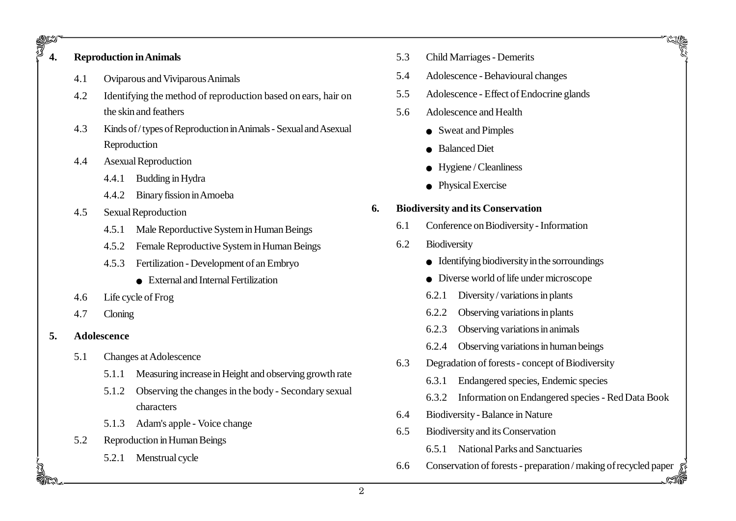# 924<br>74. **4. Reproduction in Animals**

- 4.1 Oviparous and Viviparous Animals
- 4.2 Identifying the method of reproduction based on ears, hair on the skin and feathers
- 4.3 Kinds of / types of Reproduction in Animals Sexual and Asexual Reproduction
- 4.4 Asexual Reproduction
	- 4.4.1 Budding in Hydra
	- 4.4.2 Binary fission in Amoeba
- 4.5 Sexual Reproduction
	- 4.5.1 Male Reporductive System in Human Beings
	- 4.5.2 Female Reproductive System in Human Beings
	- 4.5.3 Fertilization Development of an Embryo
		- $\bullet$  External and Internal Fertilization
- 4.6 Life cycle of Frog
- 4.7 Cloning
- **5. Adolescence**
	- 5.1 Changes at Adolescence
		- 5.1.1 Measuring increase in Height and observing growth rate
		- 5.1.2 Observing the changes in the body Secondary sexual characters
		- 5.1.3 Adam's apple Voice change
	- 5.2 Reproduction in Human Beings
		- 5.2.1 Menstrual cycle
- 5.3 Child Marriages Demerits
- 5.4 Adolescence Behavioural changes
- 5.5 Adolescence Effect of Endocrine glands
- 5.6 Adolescence and Health
	- Sweat and Pimples
	- Balanced Diet
	- $\bullet$  Hygiene / Cleanliness
	- Physical Exercise

## **6. Biodiversity and its Conservation**

- 6.1 Conference on Biodiversity Information
- 6.2 Biodiversity
	- $\bullet$  Identifying biodiversity in the sorroundings
	- $\bullet$  Diverse world of life under microscope
	- 6.2.1 Diversity / variations in plants
	- 6.2.2 Observing variations in plants
	- 6.2.3 Observing variations in animals
	- 6.2.4 Observing variations in human beings
- 6.3 Degradation of forests concept of Biodiversity
	- 6.3.1 Endangered species, Endemic species
	- 6.3.2 Information on Endangered species Red Data Book
- 6.4 Biodiversity Balance in Nature
- 6.5 Biodiversity and its Conservation
	- 6.5.1 National Parks and Sanctuaries
- 6.6 Conservation of forests preparation / making of recycled paper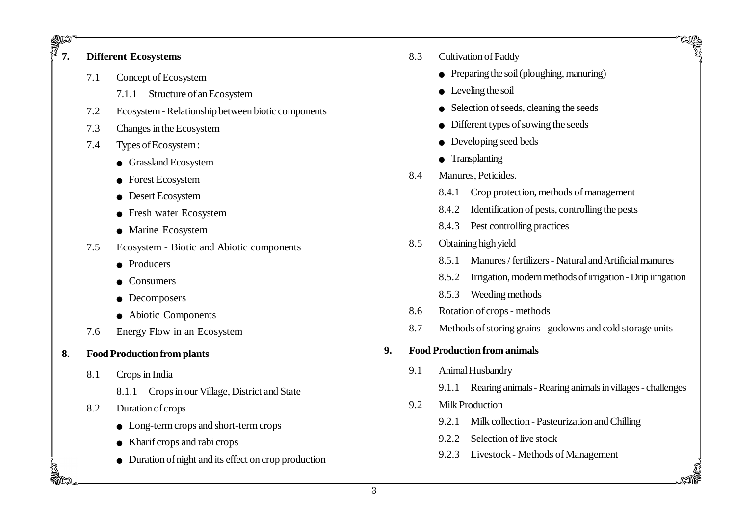# 962<br>7 **7. Different Ecosystems**

- 7.1 Concept of Ecosystem
	- 7.1.1 Structure of an Ecosystem
- 7.2 Ecosystem Relationship between biotic components
- 7.3 Changes in the Ecosystem
- 7.4 Types of Ecosystem :
	- **•** Grassland Ecosystem
	- Forest Ecosystem
	- Desert Ecosystem
	- **•** Fresh water Ecosystem
	- Marine Ecosystem
- 7.5 Ecosystem Biotic and Abiotic components
	- $\bullet$  Producers
	- **Consumers**
	- Decomposers
	- $\bullet$  Abiotic Components
- 7.6 Energy Flow in an Ecosystem
- **8. Food Production from plants**
	- 8.1 Crops in India
		- 8.1.1 Crops in our Village, District and State
	- 8.2 Duration of crops
		- $\bullet$  Long-term crops and short-term crops
		- $\bullet$  Kharif crops and rabi crops
		- $\bullet$  Duration of night and its effect on crop production
- 8.3 Cultivation of Paddy
	- $\bullet$  Preparing the soil (ploughing, manuring)
	- $\bullet$  Leveling the soil
	- $\bullet$  Selection of seeds, cleaning the seeds
	- $\bullet$  Different types of sowing the seeds
	- $\bullet$  Developing seed beds
	- Transplanting
- 8.4 Manures, Peticides.
	- 8.4.1 Crop protection, methods of management
	- 8.4.2 Identification of pests, controlling the pests
	- 8.4.3 Pest controlling practices
- 8.5 Obtaining high yield
	- 8.5.1 Manures / fertilizers Natural and Artificial manures
	- 8.5.2 Irrigation, modern methods of irrigation Drip irrigation
	- 8.5.3 Weeding methods
- 8.6 Rotation of crops methods
- 8.7 Methods of storing grains godowns and cold storage units

#### **9. Food Production from animals**

- 9.1 Animal Husbandry
	- 9.1.1 Rearing animals Rearing animals in villages challenges

- 9.2 Milk Production
	- 9.2.1 Milk collection Pasteurization and Chilling
	- 9.2.2 Selection of live stock
	- 9.2.3 Livestock Methods of Management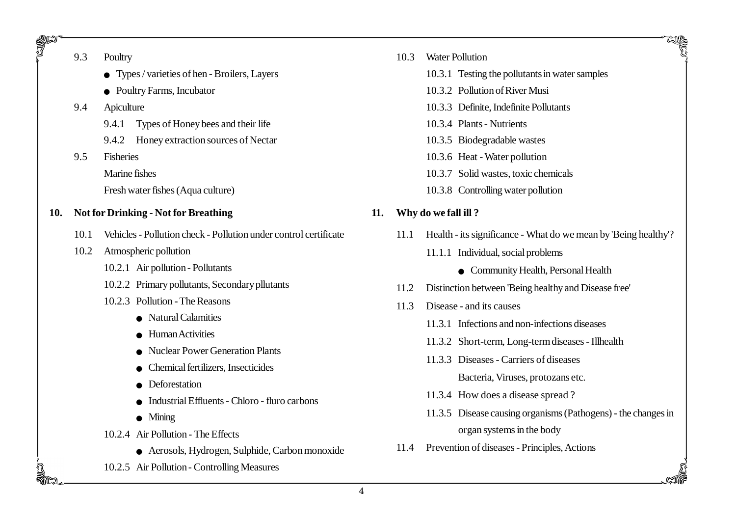| 9.3 | Poultry |
|-----|---------|
|-----|---------|

gri<br>J

- $\bullet$  Types / varieties of hen Broilers, Layers
- <sup>O</sup> Poultry Farms, Incubator

#### 9.4 Apiculture

- 9.4.1 Types of Honey bees and their life
- 9.4.2 Honey extraction sources of Nectar
- 9.5 Fisheries
	- Marine fishes

Fresh water fishes (Aqua culture)

- **10. Not for Drinking Not for Breathing**
	- 10.1 Vehicles Pollution check Pollution under control certificate
	- 10.2 Atmospheric pollution
		- 10.2.1 Air pollution Pollutants
		- 10.2.2 Primary pollutants, Secondary pllutants
		- 10.2.3 Pollution The Reasons
			- $\bullet$  Natural Calamities
			- $\bullet$  Human Activities
			- Nuclear Power Generation Plants
			- <sup>O</sup> Chemical fertilizers, Insecticides
			- Deforestation
			- $\bullet$  Industrial Effluents Chloro fluro carbons
			- $\bullet$  Mining
		- 10.2.4 Air Pollution The Effects
			- <sup>O</sup> Aerosols, Hydrogen, Sulphide, Carbon monoxide
		- 10.2.5 Air Pollution Controlling Measures
- 10.3 Water Pollution
	- 10.3.1 Testing the pollutants in water samples
	- 10.3.2 Pollution of River Musi
	- 10.3.3 Definite, Indefinite Pollutants
	- 10.3.4 Plants Nutrients
	- 10.3.5 Biodegradable wastes
	- 10.3.6 Heat Water pollution
	- 10.3.7 Solid wastes, toxic chemicals
	- 10.3.8 Controlling water pollution

### **11. Why do we fall ill ?**

- 11.1 Health its significance What do we mean by 'Being healthy'?
	- 11.1.1 Individual, social problems
		- **Community Health, Personal Health**
- 11.2 Distinction between 'Being healthy and Disease free'
- 11.3 Disease and its causes
	- 11.3.1 Infections and non-infections diseases
	- 11.3.2 Short-term, Long-term diseases Illhealth
	- 11.3.3 Diseases Carriers of diseases
		- Bacteria, Viruses, protozans etc.
	- 11.3.4 How does a disease spread ?
	- 11.3.5 Disease causing organisms (Pathogens) the changes in organ systems in the body

11.4 Prevention of diseases - Principles, Actions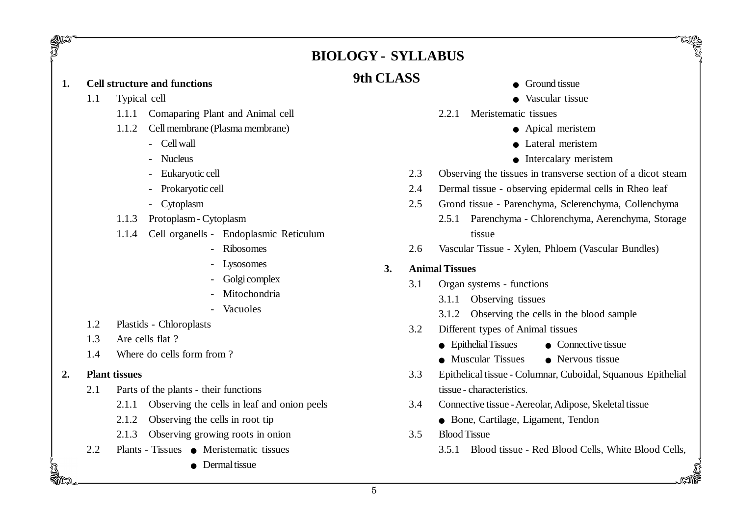# **BIOLOGY - SYLLABUS**

- $\bullet$  Ground tissue
- $\bullet$  Vascular tissue
- 2.2.1 Meristematic tissues
	- Apical meristem
	- $\bullet$  Lateral meristem
	- **•** Intercalary meristem
- 2.3 Observing the tissues in transverse section of a dicot steam
- 2.4 Dermal tissue observing epidermal cells in Rheo leaf
- 2.5 Grond tissue Parenchyma, Sclerenchyma, Collenchyma
	- 2.5.1 Parenchyma Chlorenchyma, Aerenchyma, Storage tissue
- 2.6 Vascular Tissue Xylen, Phloem (Vascular Bundles)

#### **3. Animal Tissues**

- 3.1 Organ systems functions
	- 3.1.1 Observing tissues
	- 3.1.2 Observing the cells in the blood sample
- 3.2 Different types of Animal tissues
	- $\bullet$  Epithelial Tissues  $\bullet$  Connective tissue
	- $\bullet$  Muscular Tissues  $\bullet$  Nervous tissue
- 3.3 Epithelical tissue Columnar, Cuboidal, Squanous Epithelial tissue - characteristics.
- 3.4 Connective tissue Aereolar, Adipose, Skeletal tissue
	- Bone, Cartilage, Ligament, Tendon
- 3.5 Blood Tissue
	- 3.5.1 Blood tissue Red Blood Cells, White Blood Cells,

# **9th CLASS 1. Cell structure and functions**

1.1 Typical cell

guzi<br>7

- 1.1.1 Comaparing Plant and Animal cell
- 1.1.2 Cell membrane (Plasma membrane)
	- Cell wall
	- Nucleus
	- Eukaryotic cell
	- Prokaryotic cell
	- Cytoplasm
- 1.1.3 Protoplasm Cytoplasm
- 1.1.4 Cell organells Endoplasmic Reticulum
	- Ribosomes
	- Lysosomes
	- Golgi complex
	- Mitochondria
	- Vacuoles
- 1.2 Plastids Chloroplasts
- 1.3 Are cells flat ?
- 1.4 Where do cells form from ?

#### **2. Plant tissues**

- 2.1 Parts of the plants their functions
	- 2.1.1 Observing the cells in leaf and onion peels
	- 2.1.2 Observing the cells in root tip
	- 2.1.3 Observing growing roots in onion
- 2.2 Plants Tissues Meristematic tissues
	- $\bullet$  Dermal tissue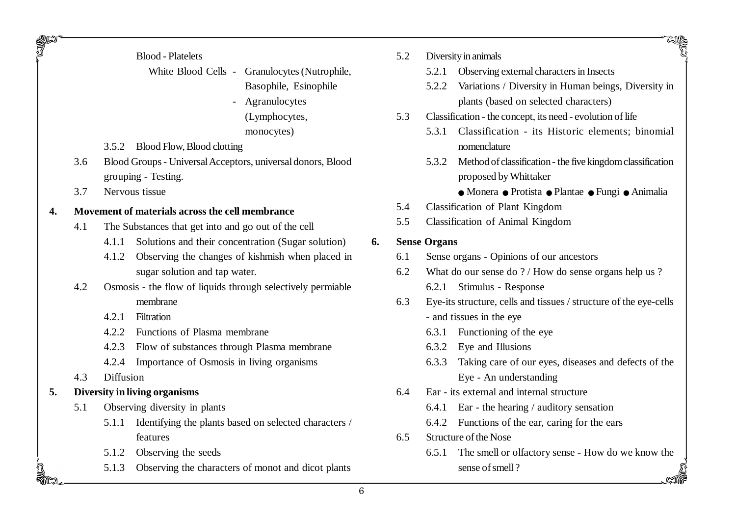|  | <b>Blood</b> - Platelets |
|--|--------------------------|
|--|--------------------------|

White Blood Cells - Granulocytes (Nutrophile, Basophile, Esinophile

- Agranulocytes (Lymphocytes, monocytes)
- 3.5.2 Blood Flow, Blood clotting
- 3.6 Blood Groups Universal Acceptors, universal donors, Blood grouping - Testing.
- 3.7 Nervous tissue

JU 20

#### **4. Movement of materials across the cell membrance**

- 4.1 The Substances that get into and go out of the cell
	- 4.1.1 Solutions and their concentration (Sugar solution)
	- 4.1.2 Observing the changes of kishmish when placed in sugar solution and tap water.
- 4.2 Osmosis the flow of liquids through selectively permiable membrane
	- 4.2.1 Filtration
	- 4.2.2 Functions of Plasma membrane
	- 4.2.3 Flow of substances through Plasma membrane
	- 4.2.4 Importance of Osmosis in living organisms
- 4.3 Diffusion
- **5. Diversity in living organisms**
	- 5.1 Observing diversity in plants
		- 5.1.1 Identifying the plants based on selected characters / features
		- 5.1.2 Observing the seeds
		- 5.1.3 Observing the characters of monot and dicot plants
- 5.2 Diversity in animals
	- 5.2.1 Observing external characters in Insects
	- 5.2.2 Variations / Diversity in Human beings, Diversity in plants (based on selected characters)
- 5.3 Classification the concept, its need evolution of life
	- 5.3.1 Classification its Historic elements; binomial nomenclature
	- 5.3.2 Method of classification the five kingdom classification proposed by Whittaker
		- OMonera OProtista OPlantae OFungi OAnimalia
- 5.4 Classification of Plant Kingdom
- 5.5 Classification of Animal Kingdom

#### **6. Sense Organs**

- 6.1 Sense organs Opinions of our ancestors
- 6.2 What do our sense do ? / How do sense organs help us ? 6.2.1 Stimulus - Response
- 6.3 Eye-its structure, cells and tissues / structure of the eye-cells - and tissues in the eye
	- 6.3.1 Functioning of the eye
	- 6.3.2 Eye and Illusions
	- 6.3.3 Taking care of our eyes, diseases and defects of the Eye - An understanding
- 6.4 Ear its external and internal structure
	- 6.4.1 Ear the hearing / auditory sensation
	- 6.4.2 Functions of the ear, caring for the ears
- 6.5 Structure of the Nose
	- 6.5.1 The smell or olfactory sense - How do we know the sense of smell ?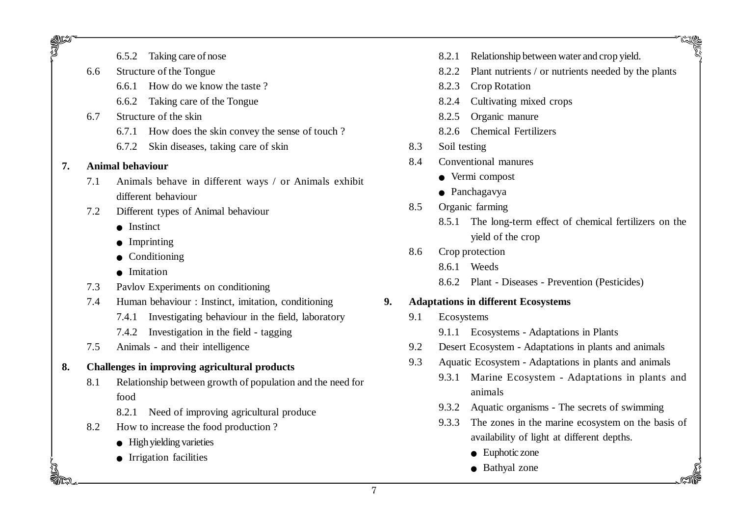- 6.5.2 Taking care of nose
- 6.6 Structure of the Tongue
	- 6.6.1 How do we know the taste ?
	- 6.6.2 Taking care of the Tongue
- 6.7 Structure of the skin
	- 6.7.1 How does the skin convey the sense of touch ?
	- 6.7.2 Skin diseases, taking care of skin

#### **7. Animal behaviour**

guz<br>77

- 7.1 Animals behave in different ways / or Animals exhibit different behaviour
- 7.2 Different types of Animal behaviour
	- Instinct
	- $\bullet$  Imprinting
	- $\bullet$  Conditioning
	- Imitation
- 7.3 Pavlov Experiments on conditioning
- 7.4 Human behaviour : Instinct, imitation, conditioning
	- 7.4.1 Investigating behaviour in the field, laboratory
	- 7.4.2 Investigation in the field tagging
- 7.5 Animals and their intelligence

## **8. Challenges in improving agricultural products**

- 8.1 Relationship between growth of population and the need for food
	- 8.2.1 Need of improving agricultural produce
- 8.2 How to increase the food production ?
	- $\bullet$  High yielding varieties
	- $\bullet$  Irrigation facilities
- 8.2.1 Relationship between water and crop yield.
- 8.2.2 Plant nutrients / or nutrients needed by the plants
- 8.2.3 Crop Rotation
- 8.2.4 Cultivating mixed crops
- 8.2.5 Organic manure
- 8.2.6 Chemical Fertilizers
- 8.3 Soil testing
- 8.4 Conventional manures
	- $\bullet$  Vermi compost
	- $\bullet$  Panchagavya
- 8.5 Organic farming
	- 8.5.1 The long-term effect of chemical fertilizers on the yield of the crop

## 8.6 Crop protection

- 8.6.1 Weeds
- 8.6.2 Plant Diseases Prevention (Pesticides)

# **9. Adaptations in different Ecosystems**

- 9.1 Ecosystems
	- 9.1.1 Ecosystems Adaptations in Plants
- 9.2 Desert Ecosystem Adaptations in plants and animals
- 9.3 Aquatic Ecosystem Adaptations in plants and animals
	- 9.3.1 Marine Ecosystem Adaptations in plants and animals
	- 9.3.2 Aquatic organisms The secrets of swimming
	- 9.3.3 The zones in the marine ecosystem on the basis of availability of light at different depths.
		- $\bullet$  Euphotic zone
		- Bathyal zone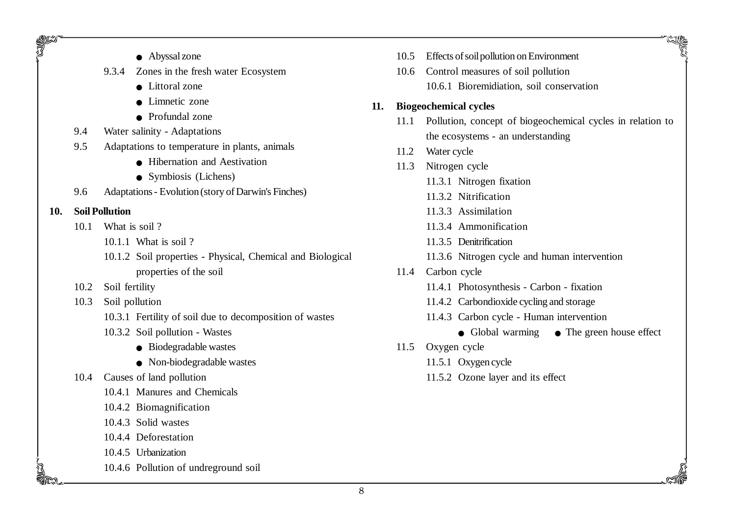- $\bullet$  Abyssal zone
- 9.3.4 Zones in the fresh water Ecosystem
	- $\bullet$  Littoral zone
	- $\bullet$  Limnetic zone
	- $\bullet$  Profundal zone
- 9.4 Water salinity Adaptations
- 9.5 Adaptations to temperature in plants, animals
	- Hibernation and Aestivation
	- $\bullet$  Symbiosis (Lichens)
- 9.6 Adaptations Evolution (story of Darwin's Finches)
- **10. Soil Pollution**

95

- 10.1 What is soil ?
	- 10.1.1 What is soil ?
	- 10.1.2 Soil properties Physical, Chemical and Biological properties of the soil
- 10.2 Soil fertility
- 10.3 Soil pollution
	- 10.3.1 Fertility of soil due to decomposition of wastes
	- 10.3.2 Soil pollution Wastes
		- $\bullet$  Biodegradable wastes
		- $\bullet$  Non-biodegradable wastes
- 10.4 Causes of land pollution
	- 10.4.1 Manures and Chemicals
	- 10.4.2 Biomagnification
	- 10.4.3 Solid wastes
	- 10.4.4 Deforestation
	- 10.4.5 Urbanization
	- 10.4.6 Pollution of undreground soil
- 10.5 Effects of soil pollution on Environment
- 10.6 Control measures of soil pollution 10.6.1 Bioremidiation, soil conservation

#### **11. Biogeochemical cycles**

- 11.1 Pollution, concept of biogeochemical cycles in relation to the ecosystems - an understanding
- 11.2 Water cycle
- 11.3 Nitrogen cycle
	- 11.3.1 Nitrogen fixation
	- 11.3.2 Nitrification
	- 11.3.3 Assimilation
	- 11.3.4 Ammonification
	- 11.3.5 Denitrification
	- 11.3.6 Nitrogen cycle and human intervention
- 11.4 Carbon cycle
	- 11.4.1 Photosynthesis Carbon fixation
	- 11.4.2 Carbondioxide cycling and storage
	- 11.4.3 Carbon cycle Human intervention
		- Global warming The green house effect

- 11.5 Oxygen cycle
	- 11.5.1 Oxygen cycle
	- 11.5.2 Ozone layer and its effect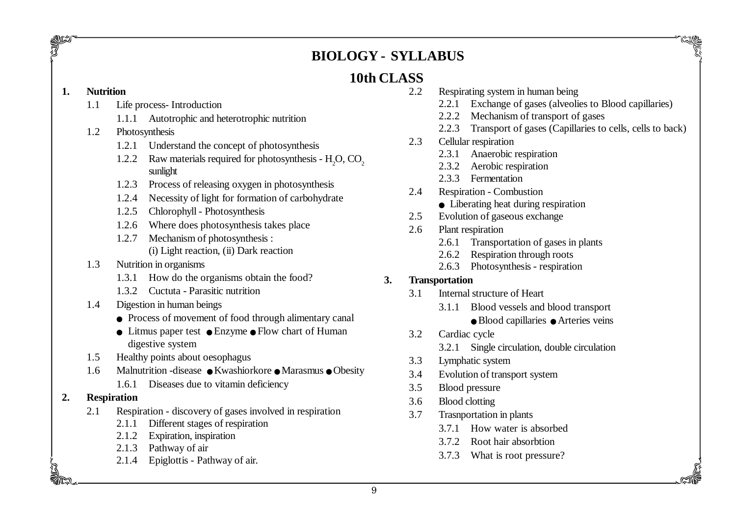# **BIOLOGY - SYLLABUS**

# **10th CLASS**

#### **1. Nutrition**

guzi<br>T

- 1.1 Life process- Introduction
	- 1.1.1 Autotrophic and heterotrophic nutrition
- 1.2 Photosynthesis
	- 1.2.1 Understand the concept of photosynthesis
	- 1.2.2 Raw materials required for photosynthesis  $H<sub>2</sub>O$ ,  $CO<sub>2</sub>$ sunlight
	- 1.2.3 Process of releasing oxygen in photosynthesis
	- 1.2.4 Necessity of light for formation of carbohydrate
	- 1.2.5 Chlorophyll Photosynthesis
	- 1.2.6 Where does photosynthesis takes place
	- 1.2.7 Mechanism of photosynthesis : (i) Light reaction, (ii) Dark reaction
- 1.3 Nutrition in organisms
	- 1.3.1 How do the organisms obtain the food?
	- 1.3.2 Cuctuta Parasitic nutrition
- 1.4 Digestion in human beings
	- Process of movement of food through alimentary canal
	- $\bullet$  Litmus paper test  $\bullet$  Enzyme  $\bullet$  Flow chart of Human digestive system
- 1.5 Healthy points about oesophagus
- 1.6 Malnutrition -disease Kwashiorkore Marasmus Obesity 1.6.1 Diseases due to vitamin deficiency
- **2. Respiration**
	- 2.1 Respiration discovery of gases involved in respiration
		- 2.1.1 Different stages of respiration
		- 2.1.2 Expiration, inspiration
		- 2.1.3 Pathway of air
		- 2.1.4 Epiglottis Pathway of air.
- 2.2 Respirating system in human being
	- 2.2.1 Exchange of gases (alveolies to Blood capillaries)
	- 2.2.2 Mechanism of transport of gases
	- 2.2.3 Transport of gases (Capillaries to cells, cells to back)
- 2.3 Cellular respiration
	- 2.3.1 Anaerobic respiration
	- 2.3.2 Aerobic respiration
	- 2.3.3 Fermentation
- 2.4 Respiration Combustion
	- $\bullet$  Liberating heat during respiration
- 2.5 Evolution of gaseous exchange
- 2.6 Plant respiration
	- 2.6.1 Transportation of gases in plants
	- 2.6.2 Respiration through roots
	- 2.6.3 Photosynthesis respiration

# **3. Transportation**

- 3.1 Internal structure of Heart
	- 3.1.1 Blood vessels and blood transport
		- Blood capillaries Arteries veins

- 3.2 Cardiac cycle
	- 3.2.1 Single circulation, double circulation
- 3.3 Lymphatic system
- 3.4 Evolution of transport system
- 3.5 Blood pressure
- 3.6 Blood clotting
- 3.7 Trasnportation in plants
	- 3.7.1 How water is absorbed
	- 3.7.2 Root hair absorbtion
	- 3.7.3 What is root pressure?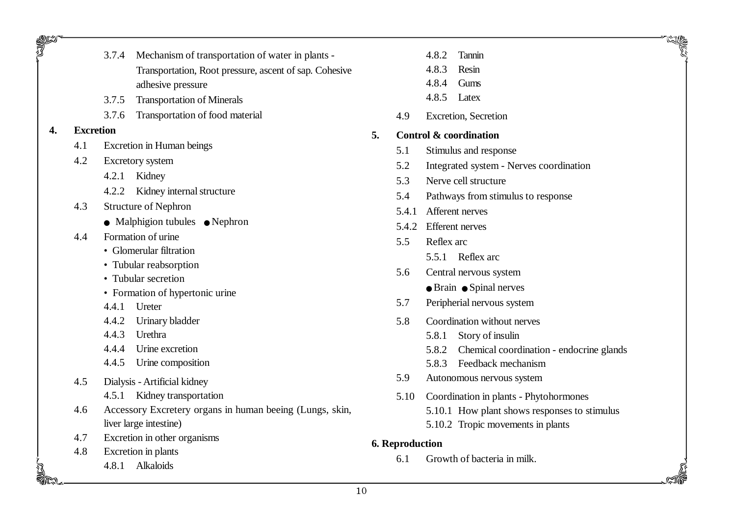| <b>RADIO</b> |                                    | 3.7.4<br>Mechanism of transportation of water in plants - |                                                        |  |  |
|--------------|------------------------------------|-----------------------------------------------------------|--------------------------------------------------------|--|--|
|              |                                    |                                                           | Transportation, Root pressure, ascent of sap. Cohesive |  |  |
|              |                                    | adhesive pressure                                         |                                                        |  |  |
|              |                                    | <b>Transportation of Minerals</b><br>3.7.5                |                                                        |  |  |
|              |                                    | 3.7.6<br>Transportation of food material                  |                                                        |  |  |
| 4.           | <b>Excretion</b>                   |                                                           | 5.                                                     |  |  |
|              | 4.1                                | Excretion in Human beings                                 |                                                        |  |  |
| 4.2          |                                    | <b>Excretory</b> system                                   |                                                        |  |  |
|              |                                    | 4.2.1 Kidney                                              |                                                        |  |  |
|              |                                    | 4.2.2 Kidney internal structure                           |                                                        |  |  |
|              | 4.3<br><b>Structure of Nephron</b> |                                                           |                                                        |  |  |
|              |                                    | $\bullet$ Malphigion tubules $\bullet$ Nephron            |                                                        |  |  |
| 4.4          |                                    | Formation of urine                                        |                                                        |  |  |
|              |                                    | • Glomerular filtration                                   |                                                        |  |  |
|              |                                    | • Tubular reabsorption                                    |                                                        |  |  |
|              |                                    | • Tubular secretion                                       |                                                        |  |  |
|              |                                    | • Formation of hypertonic urine                           |                                                        |  |  |
|              |                                    | 4.4.1 Ureter                                              |                                                        |  |  |
|              |                                    | 4.4.2 Urinary bladder                                     |                                                        |  |  |
|              |                                    | 4.4.3 Urethra                                             |                                                        |  |  |
|              |                                    | 4.4.4 Urine excretion                                     |                                                        |  |  |
|              |                                    | 4.4.5 Urine composition                                   |                                                        |  |  |
| 4.5          |                                    | Dialysis - Artificial kidney                              |                                                        |  |  |
|              |                                    | Kidney transportation<br>4.5.1                            |                                                        |  |  |
| 4.6          |                                    | Accessory Excretery organs in human beeing (Lungs, skin,  |                                                        |  |  |
|              | liver large intestine)             |                                                           |                                                        |  |  |
|              | 4.7                                | Excretion in other organisms                              | 6.1                                                    |  |  |
|              | 4.8                                | Excretion in plants                                       |                                                        |  |  |
|              |                                    | Alkaloids<br>4.8.1                                        |                                                        |  |  |
|              |                                    |                                                           |                                                        |  |  |

\_**\\\**\\\^\^\^

4.8.3 Resin

- 4.8.4 Gums
- 4.8.5 Latex
- 4.9 Excretion, Secretion

#### **5. Control & coordination**

- 5.1 Stimulus and response
- 5.2 Integrated system Nerves coordination
- 5.3 Nerve cell structure
- 5.4 Pathways from stimulus to response
- 5.4.1 Afferent nerves
- 5.4.2 Efferent nerves
- 5.5 Reflex arc
	- 5.5.1 Reflex arc
- 5.6 Central nervous system  $\bullet$  Brain  $\bullet$  Spinal nerves
- 5.7 Peripherial nervous system
- 5.8 Coordination without nerves
	- 5.8.1 Story of insulin
	- 5.8.2 Chemical coordination endocrine glands

- 5.8.3 Feedback mechanism
- 5.9 Autonomous nervous system
- 5.10 Coordination in plants Phytohormones 5.10.1 How plant shows responses to stimulus 5.10.2 Tropic movements in plants

#### **6. Reproduction**

6.1 Growth of bacteria in milk.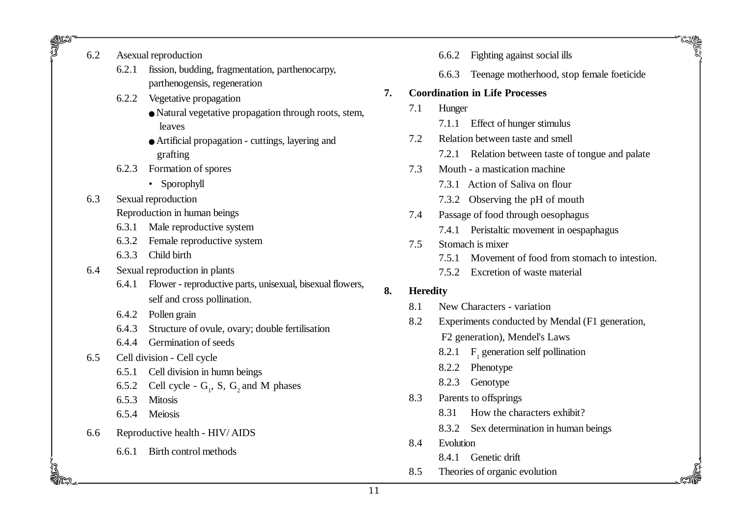6.2 Asexual reproduction

SI SI<br>T

- 6.2.1 fission, budding, fragmentation, parthenocarpy, parthenogensis, regeneration
- 6.2.2 Vegetative propagation
	- $\bullet$  Natural vegetative propagation through roots, stem, leaves
	- OArtificial propagation cuttings, layering and grafting
- 6.2.3 Formation of spores
	- Sporophyll
- 6.3 Sexual reproduction
	- Reproduction in human beings
	- 6.3.1 Male reproductive system
	- 6.3.2 Female reproductive system
	- 6.3.3 Child birth
- 6.4 Sexual reproduction in plants
	- 6.4.1 Flower reproductive parts, unisexual, bisexual flowers, self and cross pollination.
	- 6.4.2 Pollen grain
	- 6.4.3 Structure of ovule, ovary; double fertilisation
	- 6.4.4 Germination of seeds
- 6.5 Cell division Cell cycle
	- 6.5.1 Cell division in humn beings
	- 6.5.2 Cell cycle  $G_1$ , S,  $G_2$  and M phases
	- 6.5.3 Mitosis
	- 6.5.4 Meiosis
- 6.6 Reproductive health HIV/ AIDS
	- 6.6.1 Birth control methods
- 6.6.2 Fighting against social ills
- 6.6.3 Teenage motherhood, stop female foeticide
- **7. Coordination in Life Processes**
	- 7.1 Hunger
		- 7.1.1 Effect of hunger stimulus
	- 7.2 Relation between taste and smell
		- 7.2.1 Relation between taste of tongue and palate
	- 7.3 Mouth a mastication machine
		- 7.3.1 Action of Saliva on flour
		- 7.3.2 Observing the pH of mouth
	- 7.4 Passage of food through oesophagus
		- 7.4.1 Peristaltic movement in oespaphagus
	- 7.5 Stomach is mixer
		- 7.5.1 Movement of food from stomach to intestion.
		- 7.5.2 Excretion of waste material

## **8. Heredity**

- 8.1 New Characters variation
- 8.2 Experiments conducted by Mendal (F1 generation, F2 generation), Mendel's Laws
	- 8.2.1  $F_1$  generation self pollination
	- 8.2.2 Phenotype
	- 8.2.3 Genotype
- 8.3 Parents to offsprings
	- 8.31 How the characters exhibit?
	- 8.3.2 Sex determination in human beings

- 8.4 Evolution
	- 8.4.1 Genetic drift
- 8.5 Theories of organic evolution